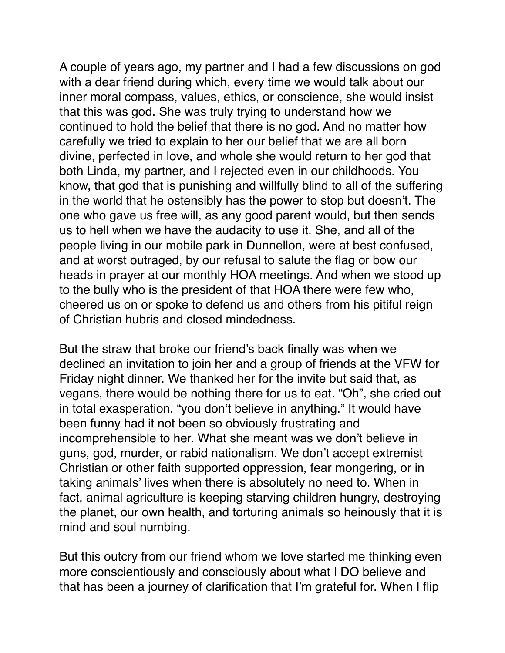A couple of years ago, my partner and I had a few discussions on god with a dear friend during which, every time we would talk about our inner moral compass, values, ethics, or conscience, she would insist that this was god. She was truly trying to understand how we continued to hold the belief that there is no god. And no matter how carefully we tried to explain to her our belief that we are all born divine, perfected in love, and whole she would return to her god that both Linda, my partner, and I rejected even in our childhoods. You know, that god that is punishing and willfully blind to all of the suffering in the world that he ostensibly has the power to stop but doesn't. The one who gave us free will, as any good parent would, but then sends us to hell when we have the audacity to use it. She, and all of the people living in our mobile park in Dunnellon, were at best confused, and at worst outraged, by our refusal to salute the flag or bow our heads in prayer at our monthly HOA meetings. And when we stood up to the bully who is the president of that HOA there were few who, cheered us on or spoke to defend us and others from his pitiful reign of Christian hubris and closed mindedness.

But the straw that broke our friend's back finally was when we declined an invitation to join her and a group of friends at the VFW for Friday night dinner. We thanked her for the invite but said that, as vegans, there would be nothing there for us to eat. "Oh", she cried out in total exasperation, "you don't believe in anything." It would have been funny had it not been so obviously frustrating and incomprehensible to her. What she meant was we don't believe in guns, god, murder, or rabid nationalism. We don't accept extremist Christian or other faith supported oppression, fear mongering, or in taking animals' lives when there is absolutely no need to. When in fact, animal agriculture is keeping starving children hungry, destroying the planet, our own health, and torturing animals so heinously that it is mind and soul numbing.

But this outcry from our friend whom we love started me thinking even more conscientiously and consciously about what I DO believe and that has been a journey of clarification that I'm grateful for. When I flip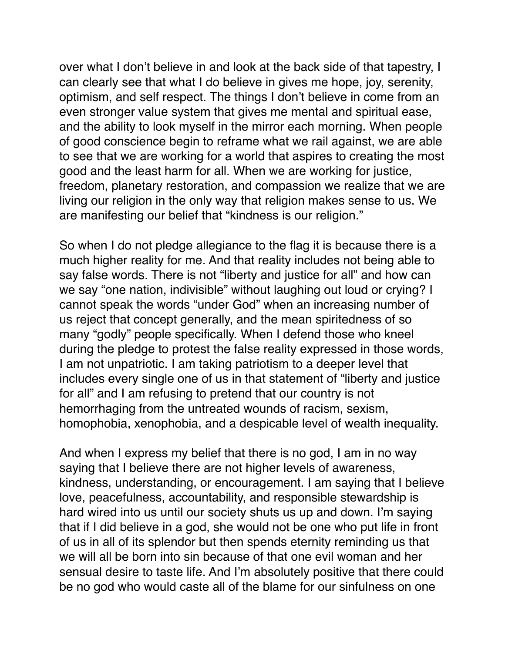over what I don't believe in and look at the back side of that tapestry, I can clearly see that what I do believe in gives me hope, joy, serenity, optimism, and self respect. The things I don't believe in come from an even stronger value system that gives me mental and spiritual ease, and the ability to look myself in the mirror each morning. When people of good conscience begin to reframe what we rail against, we are able to see that we are working for a world that aspires to creating the most good and the least harm for all. When we are working for justice, freedom, planetary restoration, and compassion we realize that we are living our religion in the only way that religion makes sense to us. We are manifesting our belief that "kindness is our religion."

So when I do not pledge allegiance to the flag it is because there is a much higher reality for me. And that reality includes not being able to say false words. There is not "liberty and justice for all" and how can we say "one nation, indivisible" without laughing out loud or crying? I cannot speak the words "under God" when an increasing number of us reject that concept generally, and the mean spiritedness of so many "godly" people specifically. When I defend those who kneel during the pledge to protest the false reality expressed in those words, I am not unpatriotic. I am taking patriotism to a deeper level that includes every single one of us in that statement of "liberty and justice for all" and I am refusing to pretend that our country is not hemorrhaging from the untreated wounds of racism, sexism, homophobia, xenophobia, and a despicable level of wealth inequality.

And when I express my belief that there is no god, I am in no way saying that I believe there are not higher levels of awareness, kindness, understanding, or encouragement. I am saying that I believe love, peacefulness, accountability, and responsible stewardship is hard wired into us until our society shuts us up and down. I'm saying that if I did believe in a god, she would not be one who put life in front of us in all of its splendor but then spends eternity reminding us that we will all be born into sin because of that one evil woman and her sensual desire to taste life. And I'm absolutely positive that there could be no god who would caste all of the blame for our sinfulness on one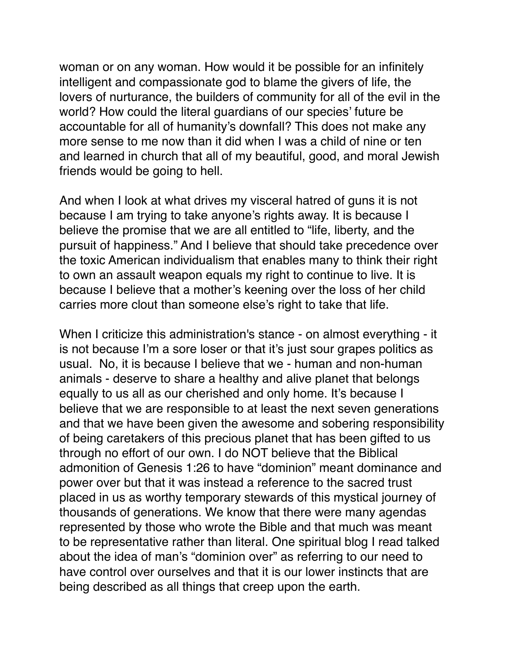woman or on any woman. How would it be possible for an infinitely intelligent and compassionate god to blame the givers of life, the lovers of nurturance, the builders of community for all of the evil in the world? How could the literal guardians of our species' future be accountable for all of humanity's downfall? This does not make any more sense to me now than it did when I was a child of nine or ten and learned in church that all of my beautiful, good, and moral Jewish friends would be going to hell.

And when I look at what drives my visceral hatred of guns it is not because I am trying to take anyone's rights away. It is because I believe the promise that we are all entitled to "life, liberty, and the pursuit of happiness." And I believe that should take precedence over the toxic American individualism that enables many to think their right to own an assault weapon equals my right to continue to live. It is because I believe that a mother's keening over the loss of her child carries more clout than someone else's right to take that life.

When I criticize this administration's stance - on almost everything - it is not because I'm a sore loser or that it's just sour grapes politics as usual. No, it is because I believe that we - human and non-human animals - deserve to share a healthy and alive planet that belongs equally to us all as our cherished and only home. It's because I believe that we are responsible to at least the next seven generations and that we have been given the awesome and sobering responsibility of being caretakers of this precious planet that has been gifted to us through no effort of our own. I do NOT believe that the Biblical admonition of Genesis 1:26 to have "dominion" meant dominance and power over but that it was instead a reference to the sacred trust placed in us as worthy temporary stewards of this mystical journey of thousands of generations. We know that there were many agendas represented by those who wrote the Bible and that much was meant to be representative rather than literal. One spiritual blog I read talked about the idea of man's "dominion over" as referring to our need to have control over ourselves and that it is our lower instincts that are being described as all things that creep upon the earth.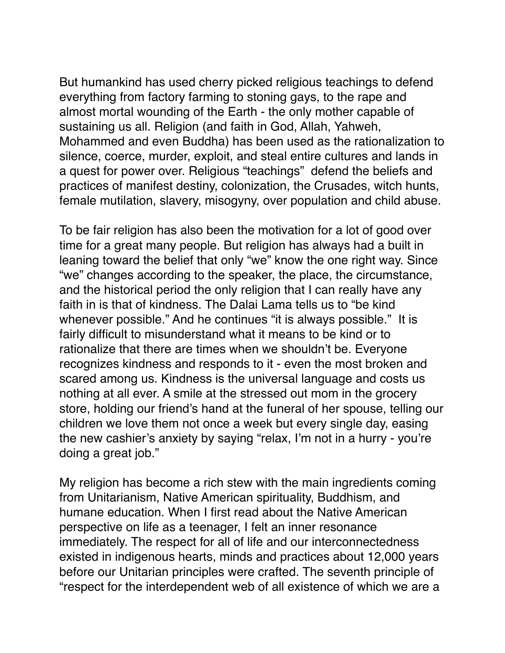But humankind has used cherry picked religious teachings to defend everything from factory farming to stoning gays, to the rape and almost mortal wounding of the Earth - the only mother capable of sustaining us all. Religion (and faith in God, Allah, Yahweh, Mohammed and even Buddha) has been used as the rationalization to silence, coerce, murder, exploit, and steal entire cultures and lands in a quest for power over. Religious "teachings" defend the beliefs and practices of manifest destiny, colonization, the Crusades, witch hunts, female mutilation, slavery, misogyny, over population and child abuse.

To be fair religion has also been the motivation for a lot of good over time for a great many people. But religion has always had a built in leaning toward the belief that only "we" know the one right way. Since "we" changes according to the speaker, the place, the circumstance, and the historical period the only religion that I can really have any faith in is that of kindness. The Dalai Lama tells us to "be kind whenever possible." And he continues "it is always possible." It is fairly difficult to misunderstand what it means to be kind or to rationalize that there are times when we shouldn't be. Everyone recognizes kindness and responds to it - even the most broken and scared among us. Kindness is the universal language and costs us nothing at all ever. A smile at the stressed out mom in the grocery store, holding our friend's hand at the funeral of her spouse, telling our children we love them not once a week but every single day, easing the new cashier's anxiety by saying "relax, I'm not in a hurry - you're doing a great job."

My religion has become a rich stew with the main ingredients coming from Unitarianism, Native American spirituality, Buddhism, and humane education. When I first read about the Native American perspective on life as a teenager, I felt an inner resonance immediately. The respect for all of life and our interconnectedness existed in indigenous hearts, minds and practices about 12,000 years before our Unitarian principles were crafted. The seventh principle of "respect for the interdependent web of all existence of which we are a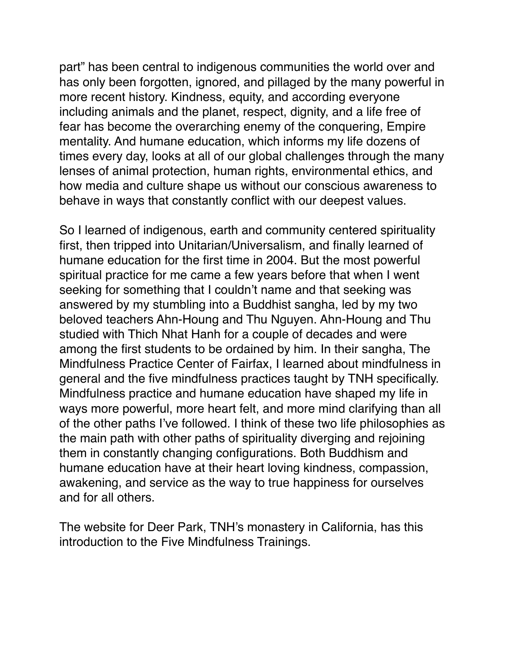part" has been central to indigenous communities the world over and has only been forgotten, ignored, and pillaged by the many powerful in more recent history. Kindness, equity, and according everyone including animals and the planet, respect, dignity, and a life free of fear has become the overarching enemy of the conquering, Empire mentality. And humane education, which informs my life dozens of times every day, looks at all of our global challenges through the many lenses of animal protection, human rights, environmental ethics, and how media and culture shape us without our conscious awareness to behave in ways that constantly conflict with our deepest values.

So I learned of indigenous, earth and community centered spirituality first, then tripped into Unitarian/Universalism, and finally learned of humane education for the first time in 2004. But the most powerful spiritual practice for me came a few years before that when I went seeking for something that I couldn't name and that seeking was answered by my stumbling into a Buddhist sangha, led by my two beloved teachers Ahn-Houng and Thu Nguyen. Ahn-Houng and Thu studied with Thich Nhat Hanh for a couple of decades and were among the first students to be ordained by him. In their sangha, The Mindfulness Practice Center of Fairfax, I learned about mindfulness in general and the five mindfulness practices taught by TNH specifically. Mindfulness practice and humane education have shaped my life in ways more powerful, more heart felt, and more mind clarifying than all of the other paths I've followed. I think of these two life philosophies as the main path with other paths of spirituality diverging and rejoining them in constantly changing configurations. Both Buddhism and humane education have at their heart loving kindness, compassion, awakening, and service as the way to true happiness for ourselves and for all others.

The website for Deer Park, TNH's monastery in California, has this introduction to the Five Mindfulness Trainings.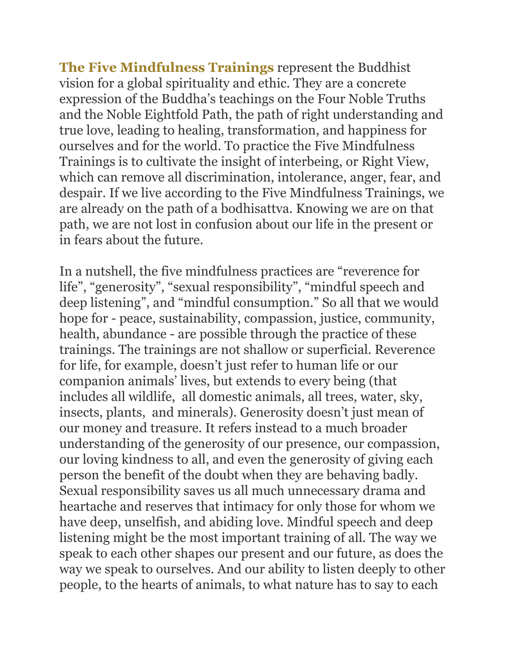**The Five Mindfulness Trainings** represent the Buddhist vision for a global spirituality and ethic. They are a concrete expression of the Buddha's teachings on the Four Noble Truths and the Noble Eightfold Path, the path of right understanding and true love, leading to healing, transformation, and happiness for ourselves and for the world. To practice the Five Mindfulness Trainings is to cultivate the insight of interbeing, or Right View, which can remove all discrimination, intolerance, anger, fear, and despair. If we live according to the Five Mindfulness Trainings, we are already on the path of a bodhisattva. Knowing we are on that path, we are not lost in confusion about our life in the present or in fears about the future.

In a nutshell, the five mindfulness practices are "reverence for life", "generosity", "sexual responsibility", "mindful speech and deep listening", and "mindful consumption." So all that we would hope for - peace, sustainability, compassion, justice, community, health, abundance - are possible through the practice of these trainings. The trainings are not shallow or superficial. Reverence for life, for example, doesn't just refer to human life or our companion animals' lives, but extends to every being (that includes all wildlife, all domestic animals, all trees, water, sky, insects, plants, and minerals). Generosity doesn't just mean of our money and treasure. It refers instead to a much broader understanding of the generosity of our presence, our compassion, our loving kindness to all, and even the generosity of giving each person the benefit of the doubt when they are behaving badly. Sexual responsibility saves us all much unnecessary drama and heartache and reserves that intimacy for only those for whom we have deep, unselfish, and abiding love. Mindful speech and deep listening might be the most important training of all. The way we speak to each other shapes our present and our future, as does the way we speak to ourselves. And our ability to listen deeply to other people, to the hearts of animals, to what nature has to say to each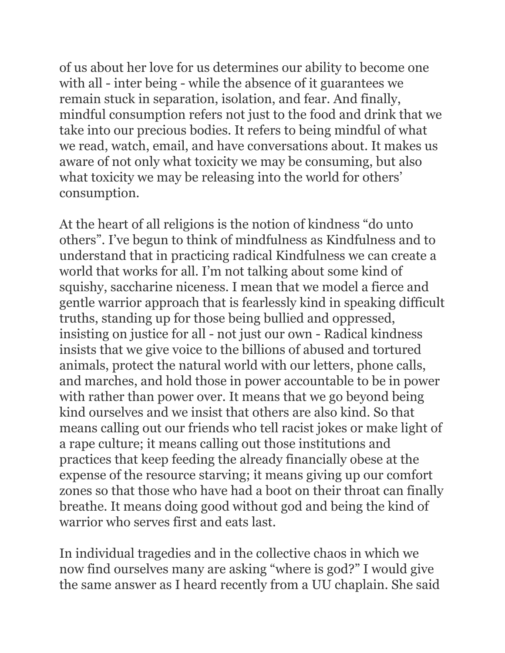of us about her love for us determines our ability to become one with all - inter being - while the absence of it guarantees we remain stuck in separation, isolation, and fear. And finally, mindful consumption refers not just to the food and drink that we take into our precious bodies. It refers to being mindful of what we read, watch, email, and have conversations about. It makes us aware of not only what toxicity we may be consuming, but also what toxicity we may be releasing into the world for others' consumption.

At the heart of all religions is the notion of kindness "do unto others". I've begun to think of mindfulness as Kindfulness and to understand that in practicing radical Kindfulness we can create a world that works for all. I'm not talking about some kind of squishy, saccharine niceness. I mean that we model a fierce and gentle warrior approach that is fearlessly kind in speaking difficult truths, standing up for those being bullied and oppressed, insisting on justice for all - not just our own - Radical kindness insists that we give voice to the billions of abused and tortured animals, protect the natural world with our letters, phone calls, and marches, and hold those in power accountable to be in power with rather than power over. It means that we go beyond being kind ourselves and we insist that others are also kind. So that means calling out our friends who tell racist jokes or make light of a rape culture; it means calling out those institutions and practices that keep feeding the already financially obese at the expense of the resource starving; it means giving up our comfort zones so that those who have had a boot on their throat can finally breathe. It means doing good without god and being the kind of warrior who serves first and eats last.

In individual tragedies and in the collective chaos in which we now find ourselves many are asking "where is god?" I would give the same answer as I heard recently from a UU chaplain. She said